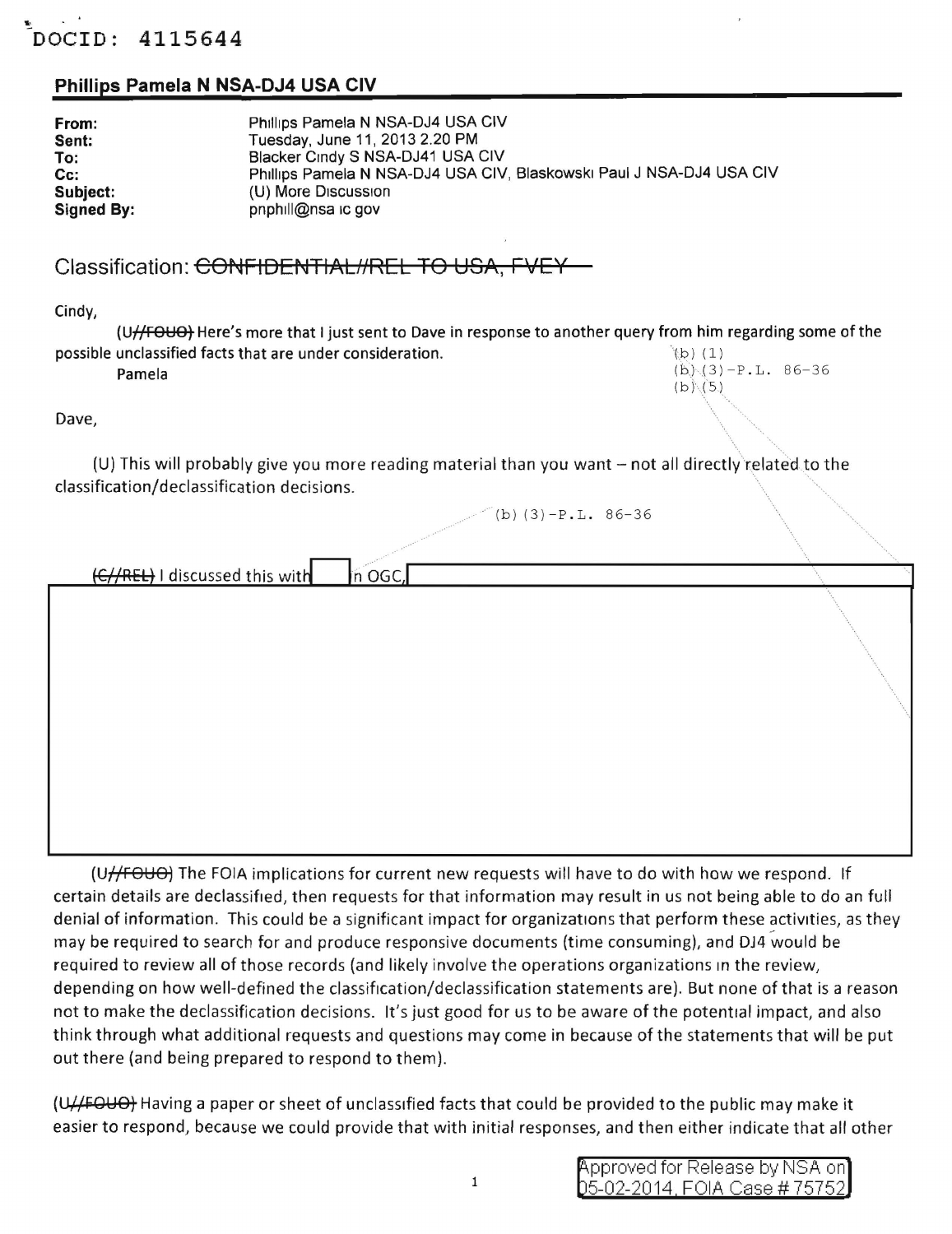## DOCID: 4115644

## Phillips Pamela N NSA-DJ4 USA CIV

| From:             | Phillips Pamela N NSA-DJ4 USA CIV                                    |
|-------------------|----------------------------------------------------------------------|
| Sent:             | Tuesday, June 11, 2013 2.20 PM                                       |
| To:               | Blacker Cindy S NSA-DJ41 USA CIV                                     |
| Cc:               | Phillips Pamela N NSA-DJ4 USA CIV, Blaskowski Paul J NSA-DJ4 USA CIV |
| Subject:          | (U) More Discussion                                                  |
| <b>Signed By:</b> | pnphill@nsa ic gov                                                   |

## Classification: CONFIDENTIAL//REL TO USA, FVEY

Cindy,

(U//FOUO) Here's more that I just sent to Dave in response to another query from him regarding some of the possible unclassified facts that are under consideration.  $\qquad \qquad (\text{b}) \; (1)$ **Pamela** (b)  $(3) - P \cdot L$ . 86-36

 $(b)$   $(5)$ 

Dave,

(U) This will probably give you more reading material than you want  $-$  not all directly related to the classification/declassification decisions.

 $(b) (3) - P L.$  86-36

(C//REL) I discussed this with In OGC.

(U//FOUO) The FOIA implications for current new requests will have to do with how we respond. If certain details are declassified, then requests for that information may result in us not being able to do an full denial of information. This could be a significant impact for organizations that perform these activities, as they may be required to search for and produce responsive documents (time consuming), and DJ4 would be required to review all of those records (and likely involve the operations organizations in the review, depending on how well-defined the classification/declassification statements are). But none of that is a reason not to make the declassification decisions. It's just good for us to be aware of the potential impact, and also think through what additional requests and questions may come in because of the statements that will be put out there (and being prepared to respond to them).

(U//FOUO) Having a paper or sheet of unclassified facts that could be provided to the public may make it easier to respond, because we could provide that with initial responses, and then either indicate that all other